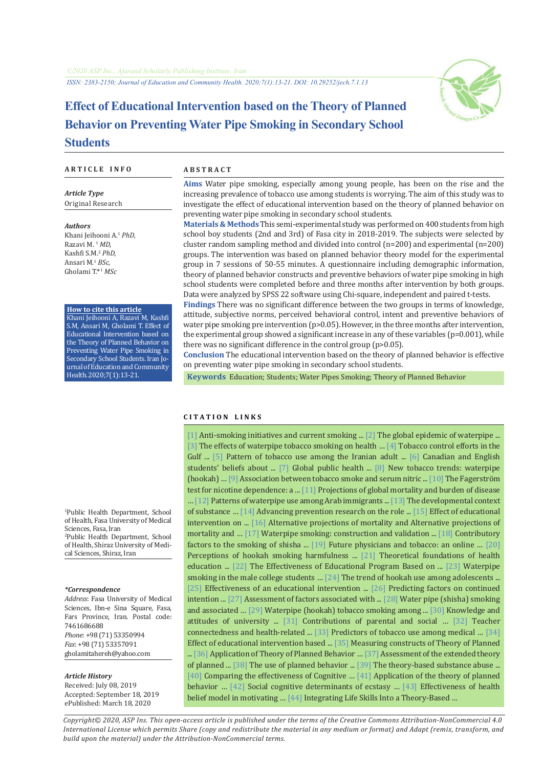

# **Effect of Educational Intervention based on the Theory of Planned Behavior on Preventing Water Pipe Smoking in Secondary School Students**

#### **A R T I C L E I N F O A B S T R A C T**

*Article Type* Original Research

*Authors* Khani Jeihooni A.1 *PhD,* Razavi M. <sup>1</sup>  *MD,* Kashfi S.M.<sup>2</sup> *PhD,* Ansari M.<sup>1</sup>  *BSc,* Gholami T.\*1  *MSc*

#### **How to cite this article**

Khani Jeihooni A, Razavi M, Kashfi S.M, Ansari M, Gholami T. Effect of Educational Intervention based on the Theory of Planned Behavior on Preventing Water Pipe Smoking in Secondary School Students. Iran Iournal of Education and Community Health.2020;7(1):13-21.

1 Public Health Department, School of Health, Fasa University of Medical Sciences, Fasa, Iran 2 Public Health Department, School

of Health, Shiraz University of Medical Sciences, Shiraz, Iran

#### *\*Correspondence*

*Address*: Fasa University of Medical Sciences, Ibn-e Sina Square, Fasa, Fars Province, Iran. Postal code: 7461686688 *Phone*: +98 (71) 53350994 *Fax*: +98 (71) 53357091 gholamitahereh@yahoo.com

#### *Article History*

Received: July 08, 2019 Accepted: September 18, 2019 ePublished: March 18, 2020

**Aims** Water pipe smoking, especially among young people, has been on the rise and the increasing prevalence of tobacco use among students is worrying. The aim of this study was to investigate the effect of educational intervention based on the theory of planned behavior on preventing water pipe smoking in secondary school students.

**Materials & Methods** This semi-experimental study was performed on 400 students from high school boy students (2nd and 3rd) of Fasa city in 2018-2019. The subjects were selected by cluster random sampling method and divided into control (n=200) and experimental (n=200) groups. The intervention was based on planned behavior theory model for the experimental group in 7 sessions of 50-55 minutes. A questionnaire including demographic information, theory of planned behavior constructs and preventive behaviors of water pipe smoking in high school students were completed before and three months after intervention by both groups. Data were analyzed by SPSS 22 software using Chi-square, independent and paired t-tests.

**Findings** There was no significant difference between the two groups in terms of knowledge, attitude, subjective norms, perceived behavioral control, intent and preventive behaviors of water pipe smoking pre intervention (p>0.05). However, in the three months after intervention, the experimental group showed a significant increase in any of these variables ( $p=0.001$ ), while there was no significant difference in the control group (p>0.05).

**Conclusion** The educational intervention based on the theory of planned behavior is effective on preventing water pipe smoking in secondary school students.

 **Keywords** [Education](https://www.ncbi.nlm.nih.gov/mesh/68004493); [Students;](https://www.ncbi.nlm.nih.gov/mesh/68013334) [Water Pipes Smoking;](https://www.ncbi.nlm.nih.gov/mesh/2023438) Theory of Planned Behavior

#### **C I T A T I O N L I N K S**

[[1\]](https://www.ncbi.nlm.nih.gov/pubmed/24568532) Anti-smoking initiatives and current smoking ... [\[2\]](https://www.ncbi.nlm.nih.gov/pubmed/20888700) The global epidemic of waterpipe ... [[3\]](https://www.ncbi.nlm.nih.gov/pubmed/27075769) The effects of waterpipe tobacco smoking on health ... [\[4](https://www.ncbi.nlm.nih.gov/pubmed/25150358)] Tobacco control efforts in the Gulf ... [[5](https://www.ncbi.nlm.nih.gov/pubmed/20008159)] Pattern of tobacco use among the Iranian adult ... [\[6](https://www.ncbi.nlm.nih.gov/pubmed/19134220)] Canadian and English students' beliefs about ... [\[7](https://www.ncbi.nlm.nih.gov/pubmed/18945485)] Global public health ... [\[8](https://www.ncbi.nlm.nih.gov/pubmed/19432909)] New tobacco trends: waterpipe (hookah) … [\[9](http://http://ppj.phypha.ir/article-1-455-en.html)] Association between tobacco smoke and serum nitric ... [[10\]](https://www.ncbi.nlm.nih.gov/pubmed/1932883) The Fagerström test for nicotine dependence: a ... [\[11\]](https://www.ncbi.nlm.nih.gov/pubmed/17132052) Projections of global mortality and burden of disease … [[12\]](http://www.sciencedomain.org/abstract/2332) Patterns of waterpipe use among Arab immigrants ... [[13\]](https://www.researchgate.net/publication/298867847) The developmental context of substance … [[14\]](https://www.ncbi.nlm.nih.gov/pubmed/18611134) Advancing prevention research on the role ... [\[15](https://www.tandfonline.com/doi/abs/10.1080/14659891.2017.1394376?journalCode=ijsu20)] Effect of educational intervention on ... [\[16\]](https://www.ncbi.nlm.nih.gov/pubmed/9167458) Alternative projections of mortality and Alternative projections of mortality and ... [[17\]](https://www.ncbi.nlm.nih.gov/pubmed/18188755) Waterpipe smoking: construction and validation ... [\[18\]](https://www.researchgate.net/publication/282846378) Contributory factors to the smoking of shisha ... [[19\]](https://www.ncbi.nlm.nih.gov/pubmed/23557392) Future physicians and tobacco: an online … [[20\]](https://www.ncbi.nlm.nih.gov/pubmed/20021672) Perceptions of hookah smoking harmfulness ... [\[21](https://books.google.com/books?id=A6LOCwAAQBAJ&printsec=frontcover&dq)] Theoretical foundations of health education ... [\[22](http://jech.umsha.ac.ir/article-1-212-fa.html)] The Effectiveness of Educational Program Based on ... [\[23](http://jrh.gmu.ac.ir/article-1-239-en.html)] Waterpipe smoking in the male college students ... [\[24](http://jqr.kmu.ac.ir/article-1-252-fa.html)] The trend of hookah use among adolescents ... [[25](http://jrh.gmu.ac.ir/article-1-121-en.html)] Effectiveness of an educational intervention ... [\[26\]](http://journal.ihepsa.ir/article-1-178-fa.html) Predicting factors on continued intention ... [[27\]](http://journal.ihepsa.ir/article-1-752-fa.html) Assessment of factors associated with ... [[28\]](https://www.ncbi.nlm.nih.gov/pubmed/22393987) Water pipe (shisha) smoking and associated … [\[29](https://www.ncbi.nlm.nih.gov/pubmed/21232693)] Waterpipe (hookah) tobacco smoking among ... [[30\]](https://ijpsychiatrybs.com/en/articles/11676.html) Knowledge and attitudes of university ... [[31\]](https://www.ncbi.nlm.nih.gov/pubmed/18514145) Contributions of parental and social … [[32\]](https://www.ncbi.nlm.nih.gov/pubmed/16182147) Teacher connectedness and health-related ... [\[33\]](http://jech.umsha.ac.ir/article-1-81-fa.html) Predictors of tobacco use among medical … [[34\]](http://eprints.hums.ac.ir/3430/) Effect of educational intervention based ... [[35\]](https://jkums.com/en/articles/77273.html) Measuring constructs of Theory of Planned ... [[36](http://journal.ihepsa.ir/article-1-265-fa.html)] Application of Theory of Planned Behavior … [[37\]](http://eprints.bpums.ac.ir/6891/) Assessment of the extended theory of planned ... [[38\]](https://www.ncbi.nlm.nih.gov/pubmed/28690480) The use of planned behavior ... [[39](https://hehp.modares.ac.ir/article-5-2161-en.html)] The theory-based substance abuse ... [[40](https://www.ncbi.nlm.nih.gov/pubmed/24644477)] Comparing the effectiveness of Cognitive … [[41\]](http://journal.ihepsa.ir/article-1-270-fa.html) Application of the theory of planned behavior … [[42\]](https://www.ncbi.nlm.nih.gov/pmc/articles/PMC2253702/) Social cognitive determinants of ecstasy … [[43\]](https://www.researchgate.net/publication/264783293) Effectiveness of health belief model in motivating … [[44\]](https://www.ncbi.nlm.nih.gov/pubmed/22671949) Integrating Life Skills Into a Theory-Based …

*Copyright© 2020, ASP Ins. This open-access article is published under the terms of the Creative Commons Attribution-NonCommercial 4.0 International License which permits Share (copy and redistribute the material in any medium or format) and Adapt (remix, transform, and build upon the material) under the Attribution-NonCommercial terms.*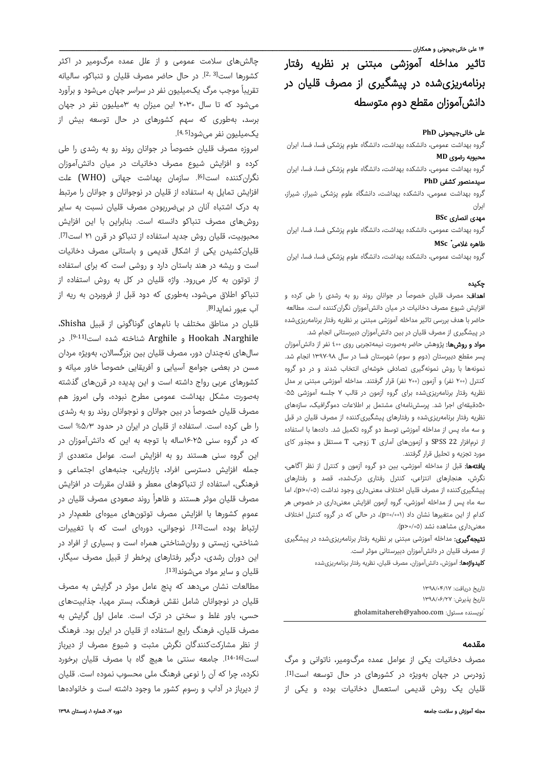۱۴ علی خانیجیحونی و همکاران ــ

تاثیر مداخله آموزشی مبتنی بر نظریه رفتار برنامهریزیشده در پیشگیری از مصرف قلیان در دانشآموزان مقطع دوم متوسطه

# علی خانیجیحونی **PhD**

گروه بهداشت عمومی، دانشکده بهداشت، دانشگاه علوم پزشکی فسا، فسا، ایران محبوبه رضوی **MD**

گروه بهداشت عمومی، دانشکده بهداشت، دانشگاه علوم پزشکی فسا، فسا، ایران سیدمنصور کشفی **PhD**

گروه بهداشت عمومی، دانشکده بهداشت، دانشگاه علوم پزشکی شیراز، شیراز، ایران

# مهدی انصار ی **BSc**

گروه بهداشت عمومی، دانشکده بهداشت، دانشگاه علوم پزشکی فسا، فسا، ایران

# \* طاهره غلامی **MSc**

گروه بهداشت عمومی، دانشکده بهداشت، دانشگاه علوم پزشکی فسا، فسا، ایران

# چکیده

**اهداف:** مصرف قلیان خصوصاً در جوانان روند رو به رشدی را طی کرده و افزایش شیوع مصرف دخانیات در میان دانشآموزان نگرانکننده است. مطالعه حاضر با هدف بررسی تاثیر مداخله آموزشی مبتنی بر نظریه رفتار برنامهریزیشده در پیشگیری از مصرف قلیان در بین دانشآموزان دبیرستانی انجام شد.

**مواد و روشها:** پژوهش حاضر بهصورت نیمهتجربی روی ٤٠٠ نفر از دانشآموزان پسر مقطع دبیرستان (دوم و سوم) شهرستان فسا در سال ١٣٩٧-٩٨ انجام شد. نمونهها با روش نمونهگیری تصادفی خوشهای انتخاب شدند و در دو گروه کنترل (٢٠٠ نفر) و آزمون (٢٠٠ نفر) قرار گرفتند. مداخله آموزشی مبتنی بر مدل نظریه رفتار برنامهریزیشده برای گروه آزمون در قالب ۷ جلسه آموزشی -۵۵ ۵۰دقیقهای اجرا شد. پرسشنامهای مشتمل بر اطلاعات دموگرافیک، سازههای نظریه رفتار برنامهریزیشده و رفتارهای پیشگیریکننده از مصرف قلیان در قبل و سه ماه پس از مداخله آموزشی توسط دو گروه تکمیل شد. دادهها با استفاده از نرمافزار 22 SPSS و آزمونهای آماری T زوجی، T مستقل و مجذور کای مورد تجزیه و تحلیل قرار گرفتند.

یافتهها: قبل از مداخله آموزشی، بین دو گروه آزمون و کنترل از نظر آگاهی، نگرش، هنجارهای انتزاعی، کنترل رفتاری درکشده، قصد و رفتارهای پیشگیریکننده از مصرف قلیان اختلاف معنیداری وجود نداشت (٠/٠٥<p(، اما سه ماه پس از مداخله آموزشی، گروه آزمون افزایش معنیداری در خصوص هر کدام از این متغیرها نشان داد (٠/٠٠١=p(، در حالی که در گروه کنترل اختلاف معنیداری مشاهده نشد (٠/٠٥<p(.

**نتیجهگیری:** مداخله آموزشی مبتنی بر نظریه رفتار برنامهریزیشده در پیشگیری از مصرف قلیان در دانشآموزان دبیرستانی موثر است.

کلیدواژهها: آموزش، دانشآموزان، مصرف قلیان، نظریه رفتار برنامهریزیشده

تاریخ دریافت: ۱۳۹۸/۰۴/۱۷ تاریخ پذیرش: ۱۳۹۸/۰۶/۲۷ \* gholamitahereh@yahoo.com :مسئول نویسنده

### مقدمه

مصرف دخانیات یکی از عوامل عمده مرگومیر، ناتوانی و مرگ . [1] زودرس در جهان بهویژه در کشورهای در حال توسعه است قلیان یک روش قدیمی استعمال دخانیات بوده و یکی از

چالشهای سلامت عمومی و از علل عمده مرگومیر در اکثر كشورها است<sup>[2, 2]</sup>. در حال حاضر مصرف قلیان و تنباكو، سالیانه تقریبا موجب مرگ یکمیلیون نفر در سراسر جهان میشود و برآورد ً میشود که تا سال ٢٠٣٠ این میزان به ٣میلیون نفر در جهان برسد، بهطوری که سهم کشورهای در حال توسعه بیش از یکمیلیون نفر میشود<sup>[4,5]</sup>.

امروزه مصرف قلیان خصوصاً در جوانان روند رو به رشدی را طی کرده و افزایش شیوع مصرف دخانیات در میان دانشآموزان نگران کننده است<sup>[6]</sup>. سازمان بهداشت جهانی (WHO) علت افزایش تمایل به استفاده از قلیان در نوجوانان و جوانان را مرتبط به درک اشتباه آنان در بیضرربودن مصرف قلیان نسبت به سایر روشهای مصرف تنباکو دانسته است. بنابراین با این افزایش . [7] محبوبیت، قلیان روش جدید استفاده از تنباکو در قرن ۲۱ است قلیانکشیدن یکی از اشکال قدیمی و باستانی مصرف دخانیات است و ریشه در هند باستان دارد و روشی است که برای استفاده از توتون به کار میرود. واژه قلیان در کل به روش استفاده از تنباکو اطلاق میشود، بهطوری که دود قبل از فروبردن به ریه از آب عبور نماید<sup>[8]</sup>.

قلیان در مناطق مختلف با نامهای گوناگونی از قبیل Shisha، Narghile، Hookah و Arghile شناخته شده است[9-11]. در سالهای نهچندان دور، مصرف قلیان بین بزرگسالان، بهویژه مردان مسن در بعضی جوامع آسیایی و آفریقایی خصوصاً خاور میانه و کشورهای عربی رواج داشته است و این پدیده در قرنهای گذشته بهصورت مشکل بهداشت عمومی مطرح نبوده، ولی امروز هم صرف قلیان خصوصا در بین جوانان و نوجوانان روند رو به رشدی ً م را طی کرده است. استفاده از قلیان در ایران در حدود %۵٫۳ است که در گروه سنی ۱۶-۲۵ساله با توجه به این که دانشآموزان در این گروه سنی هستند رو به افزایش است. عوامل متعددی از جمله افزایش دسترسی افراد، بازاریابی، جنبههای اجتماعی و فرهنگی، استفاده از تنباکوهای معطر و فقدان مقررات در افزایش مصرف قلیان موثر هستند و ظاهرا روند صعودی مصرف قلیان در ً عموم کشورها با افزایش مصرف توتونهای میوهای طعمدار در ارتباط بوده است<sup>[12]</sup>. نوجوانی، دورهای است که با تغییرات شناختی، زیستی و روانشناختی همراه است و بسیاری از افراد در این دوران رشدی، درگیر رفتارهای پرخطر از قبیل مصرف سیگار، قلیان و سایر مواد میشوند<sup>[13]</sup>.

مطالعات نشان میدهد که پنج عامل موثر در گرایش به مصرف قلیان در نوجوانان شامل نقش فرهنگ، بستر مهیا، جذابیتهای حسی، باور غلط و سختی در ترک است. عامل اول گرایش به مصرف قلیان، فرهنگ رایج استفاده از قلیان در ایران بود. فرهنگ از نظر مشارکتکنندگان نگرش مثبت و شیوع مصرف از دیرباز است<sup>[14-16]</sup>. جامعه سنتی ما هیچ گاه با مصرف قلیان برخورد نکرده، چرا که آن را نوعی فرهنگ ملی محسوب نموده است. قلیان از دیرباز در آداب و رسوم کشور ما وجود داشته است و خانوادهها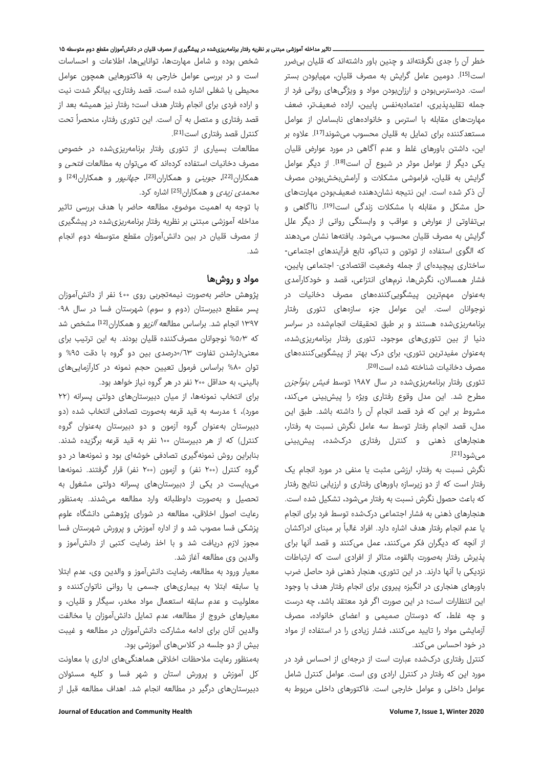خطر آن را جدی نگرفتهاند و چنین باور داشتهاند که قلیان بیضرر است<sup>[15]</sup>. دومین عامل گرایش به مصرف قلیان، مهیابودن بستر است. دردسترسبودن و ارزانبودن مواد و ویژگیهای روانی فرد از جمله تقلیدپذیری، اعتمادبهنفس پایین، اراده ضعیفتر، ضعف مهارتهای مقابله با استرس و خانوادههای نابسامان از عوامل مستعدکننده برای تمایل به قلیان محسوب میشوند<sup>[17]</sup>. علاوه بر این، داشتن باورهای غلط و عدم آگاهی در مورد عوارض قلیان یکی دیگر از عوامل موثر در شیوع آن است<sup>[18]</sup>. از دیگر عوامل گرایش به قلیان، فراموشی مشکلات و آرامشبخشبودن مصرف آن ذکر شده است. این نتیجه نشاندهنده ضعیفبودن مهارتهای حل مشکل و مقابله با مشکلات زندگی است[19]. ناآگاهی و بیتفاوتی از عوارض و عواقب و وابستگی روانی از دیگر علل گرایش به مصرف قلیان محسوب میشود. یافتهها نشان میدهند که الگوی استفاده از توتون و تنباکو، تابع فرآیندهای اجتماعی- ساختاری پیچیدهای از جمله وضعیت اقتصادی- اجتماعی پایین، فشار همسالان، نگرشها، نرمهای انتزاعی، قصد و خودکارآمدی بهعنوان مهمترین پیشگوییکنندههای مصرف دخانیات در نوجوانان است. این عوامل جزء سازههای تئوری رفتار برنامهریزیشده هستند و بر طبق تحقیقات انجامشده در سراسر دنیا از بین تئوریهای موجود، تئوری رفتار برنامهریزیشده، بهعنوان مفیدترین تئوری، برای درک بهتر از پیشگوییکنندههای مصرف دخانیات شناخته شده است<sup>[20]</sup>. .

تئوری رفتار برنامهریزیشده در سال ۱۹۸۷ توسط فیش بنوآجزن مطرح شد. این مدل وقوع رفتاری ویژه را پیشبینی میکند، مشروط بر این که فرد قصد انجام آن را داشته باشد. طبق این مدل، قصد انجام رفتار توسط سه عامل نگرش نسبت به رفتار، هنجارهای ذهنی و کنترل رفتاری درکشده، پیشبینی می *ش*ود<sup>[21]</sup>.

نگرش نسبت به رفتار، ارزشی مثبت یا منفی در مورد انجام یک رفتار است که از دو زیرسازه باورهای رفتاری و ارزیابی نتایج رفتار که باعث حصول نگرش نسبت به رفتار میشود، تشکیل شده است. هنجارهای ذهنی به فشار اجتماعی درکشده توسط فرد برای انجام یا عدم انجام رفتار هدف اشاره دارد. افراد غالباً بر مبنای ادراکشان از آنچه که دیگران فکر میکنند، عمل میکنند و قصد آنها برای پذیرش رفتار بهصورت بالقوه، متاثر از افرادی است که ارتباطات نزدیکی با آنها دارند. در این تئوری، هنجار ذهنی فرد حاصل ضرب باورهای هنجاری در انگیزه پیروی برای انجام رفتار هدف با وجود این انتظارات است؛ در این صورت اگر فرد معتقد باشد، چه درست و چه غلط، که دوستان صمیمی و اعضای خانواده، مصرف آزمایشی مواد را تایید میکنند، فشار زیادی را در استفاده از مواد در خود احساس میکند.

کنترل رفتاری درکشده عبارت است از درجهای از احساس فرد در مورد این که رفتار در کنترل ارادی وی است. عوامل کنترل شامل عوامل داخلی و عوامل خارجی است. فاکتورهای داخلی مربوط به

شخص بوده و شامل مهارتها، تواناییها، اطلاعات و احساسات است و در بررسی عوامل خارجی به فاکتورهایی همچون عوامل محیطی یا شغلی اشاره شده است. قصد رفتاری، بیانگر شدت نیت و اراده فردی برای انجام رفتار هدف است؛ رفتار نیز همیشه بعد از قصد رفتاری و متصل به آن است. این تئوری رفتار، منحصراً تحت . [21] کنترل قصد رفتاری است

مطالعات بسیاری از تئوری رفتار برنامهریزیشده در خصوص مصرف دخانیات استفاده کردهاند که میتوان به مطالعات فتحی و همکاران[22]، جوینی و همکاران[23]، جهانپور و همکاران[24] و *محمدی زیدی* و همکاران<sup>[25]</sup> اشاره کرد.

با توجه به اهمیت موضوع، مطالعه حاضر با هدف بررسی تاثیر مداخله آموزشی مبتنی بر نظریه رفتار برنامهریزیشده در پیشگیری از مصرف قلیان در بین دانشآموزان مقطع متوسطه دوم انجام شد.

# مواد و روشها

پژوهش حاضر بهصورت نیمهتجربی روی ٤٠٠ نفر از دانشآموزان پسر مقطع دبیرستان (دوم و سوم) شهرستان فسا در سال -٩٨ ١٣٩٧ انجام شد. براساس مطالعه آلزیو و همکاران[12] مشخص شد که %٥٫٣ نوجوانان مصرفکننده قلیان بودند. به این ترتیب برای معنیدارشدن تفاوت ٠/٦٣درصدی بین دو گروه با دقت %٩٥ و توان %٨٠ براساس فرمول تعیین حجم نمونه در کارآزماییهای بالینی، به حداقل ٢٠٠ نفر در هر گروه نیاز خواهد بود.

برای انتخاب نمونهها، از میان دبیرستانهای دولتی پسرانه (٢٢ مورد)، ٤ مدرسه به قید قرعه بهصورت تصادفی انتخاب شده (دو دبیرستان بهعنوان گروه آزمون و دو دبیرستان بهعنوان گروه کنترل) که از هر دبیرستان ١٠٠ نفر به قید قرعه برگزیده شدند. بنابراین روش نمونهگیری تصادفی خوشهای بود و نمونهها در دو گروه کنترل (٢٠٠ نفر) و آزمون (٢٠٠ نفر) قرار گرفتند. نمونهها میبایست در یکی از دبیرستانهای پسرانه دولتی مشغول به تحصیل و بهصورت داوطلبانه وارد مطالعه میشدند. بهمنظور رعایت اصول اخلاقی، مطالعه در شورای پژوهشی دانشگاه علوم پزشکی فسا مصوب شد و از اداره آموزش و پرورش شهرستان فسا مجوز لازم دریافت شد و با اخذ رضایت کتبی از دانشآموز و والدین وی مطالعه آغاز شد.

معیار ورود به مطالعه، رضایت دانشآموز و والدین وی، عدم ابتلا یا سابقه ابتلا به بیماریهای جسمی یا روانی ناتوانکننده و معلولیت و عدم سابقه استعمال مواد مخدر، سیگار و قلیان، و معیارهای خروج از مطالعه، عدم تمایل دانشآموزان یا مخالفت والدین آنان برای ادامه مشارکت دانشآموزان در مطالعه و غیبت بیش از دو جلسه در کلاسهای آموزشی بود.

بهمنظور رعایت ملاحظات اخلاقی هماهنگیهای اداری با معاونت کل آموزش و پرورش استان و شهر فسا و کلیه مسئولان دبیرستانهای درگیر در مطالعه انجام شد. اهداف مطالعه قبل از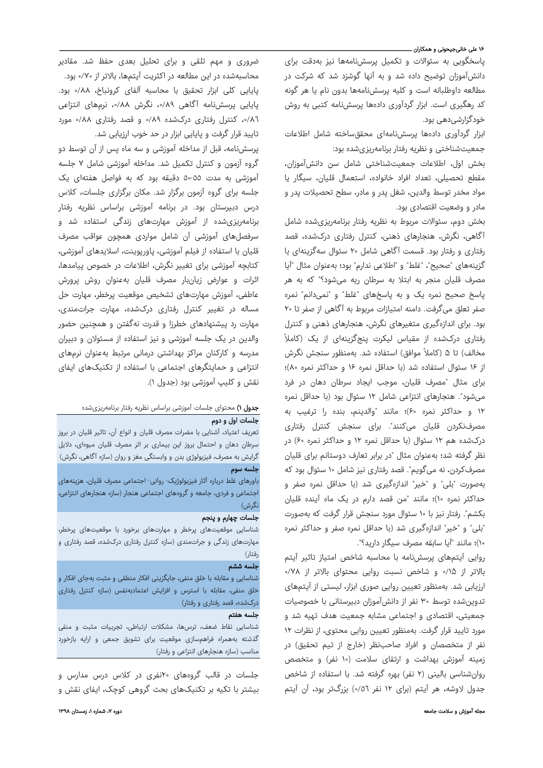#### ۱۶ علی خانیجیحونی و همکاران ــــ

پاسخگویی به سئوالات و تکمیل پرسشنامهها نیز بهدقت برای دانشآموزان توضیح داده شد و به آنها گوشزد شد که شرکت در مطالعه داوطلبانه است و کلیه پرسشنامهها بدون نام یا هر گونه کد رهگیری است. ابزار گردآوری دادهها پرسشنامه کتبی به روش خودگزارشیدهی بود.

ابزار گردآوری دادهها پرسشنامهای محققساخته شامل اطلاعات جمعیتشناختی و نظریه رفتار برنامهریزیشده بود:

بخش اول، اطلاعات جمعیتشناختی شامل سن دانشآموزان، مقطع تحصیلی، تعداد افراد خانواده، استعمال قلیان، سیگار یا مواد مخدر توسط والدین، شغل پدر و مادر، سطح تحصیلات پدر و مادر و وضعیت اقتصادی بود.

بخش دوم، سئوالات مربوط به نظریه رفتار برنامهریزیشده شامل آگاهی، نگرش، هنجارهای ذهنی، کنترل رفتاری درکشده، قصد رفتاری و رفتار بود. قسمت آگاهی شامل ۲۰ سئوال سهگزینهای با گزینههای "صحیح"، "غلط" و "اطلاعی ندارم" بود؛ بهعنوان مثال "آیا مصرف قلیان منجر به ابتلا به سرطان ریه میشود؟" که به هر پاسخ صحیح نمره یک و به پاسخهای "غلط" و "نمیدانم" نمره صفر تعلق میگرفت. دامنه امتیازات مربوط به آگاهی از صفر تا ۲۰ بود. برای اندازهگیری متغیرهای نگرش، هنجارهای ذهنی و کنترل ً رفتاری درکشده از مقیاس لیکرت پنجگزینهای از یک (کاملا مخالف) تا ۵ (کاملاً موافق) استفاده شد. بهمنظور سنجش نگرش از ۱۶ سئوال استفاده شد (با حداقل نمره ۱۶ و حداکثر نمره ۸۰)؛ برای مثال "مصرف قلیان، موجب ایجاد سرطان دهان در فرد میشود". هنجارهای انتزاعی شامل ۱۲ سئوال بود (با حداقل نمره ۱۲ و حداکثر نمره ۶۰)؛ مانند "والدینم، بنده را ترغیب به مصرفنکردن قلیان میکنند". برای سنجش کنترل رفتاری درکشده هم ۱۲ سئوال (با حداقل نمره ۱۲ و حداکثر نمره ۶۰) در نظر گرفته شد؛ بهعنوان مثال "در برابر تعارف دوستانم برای قلیان مصرفکردن، نه میگویم". قصد رفتاری نیز شامل ۱۰ سئوال بود که بهصورت "بلی" و "خیر" اندازهگیری شد (با حداقل نمره صفر و حداکثر نمره ۱۰)؛ مانند "من قصد دارم در یک ماه آینده قلیان بکشم". رفتار نیز با ۱۰ سئوال مورد سنجش قرار گرفت که بهصورت "بلی" و "خیر" اندازهگیری شد (با حداقل نمره صفر و حداکثر نمره ۱۰)؛ مانند "آیا سابقه مصرف سیگار دارید؟".

روایی آیتمهای پرسشنامه با محاسبه شاخص امتیاز تاثیر آیتم بالاتر از ۰/۱۵ و شاخص نسبت روایی محتوای بالاتر از ٠/٧٨ ارزیابی شد. بهمنظور تعیین روایی صوری ابزار، لیستی از آیتمهای تدوینشده توسط ٣٠ نفر از دانشآموزان دبیرستانی با خصوصیات جمعیتی، اقتصادی و اجتماعی مشابه جمعیت هدف تهیه شد و مورد تایید قرار گرفت. بهمنظور تعیین روایی محتوی، از نظرات ١٢ نفر از متخصصان و افراد صاحبنظر (خارج از تیم تحقیق) در زمینه آموزش بهداشت و ارتقای سلامت (١٠ نفر) و متخصص روانشناسی بالینی (٢ نفر) بهره گرفته شد. با استفاده از شاخص جدول لاوشه، هر آیتم (برای ١٢ نفر ٠/٥٦) بزرگتر بود، آن آیتم

ضروری و مهم تلقی و برای تحلیل بعدی حفظ شد. مقادیر محاسبهشده در این مطالعه در اکثریت آیتمها، بالاتر از ٠/٧٠ بود. پایایی کلی ابزار تحقیق با محاسبه آلفای کرونباخ، ۰/۸۸ بود. پایایی پرسشنامه آگاهی ،٠/٨٩ نگرش ،٠/٨٨ نرمهای انتزاعی ،٠/٨٦ کنترل رفتاری درکشده ٠/٨٩ و قصد رفتاری ۰/۸۸ مورد تایید قرار گرفت و پایایی ابزار در حد خوب ارزیابی شد.

پرسشنامه، قبل از مداخله آموزشی و سه ماه پس از آن توسط دو گروه آزمون و کنترل تکمیل شد. مداخله آموزشی شامل ۷ جلسه آموزشی به مدت ٥٠-٥٥ دقیقه بود که به فواصل هفتهای یک جلسه برای گروه آزمون برگزار شد. مکان برگزاری جلسات، کلاس درس دبیرستان بود. در برنامه آموزشی براساس نظریه رفتار برنامهریزیشده از آموزش مهارتهای زندگی استفاده شد و سرفصلهای آموزشی آن شامل مواردی همچون عواقب مصرف قلیان با استفاده از فیلم آموزشی، پاورپوینت، اسلایدهای آموزشی، کتابچه آموزشی برای تغییر نگرش، اطلاعات در خصوص پیامدها، اثرات و عوارض زیانبار مصرف قلیان بهعنوان روش پرورش عاطفی، آموزش مهارتهای تشخیص موقعیت پرخطر، مهارت حل مساله در تغییر کنترل رفتاری درکشده، مهارت جراتمندی، مهارت رد پیشنهادهای خطرزا و قدرت نهگفتن و همچنین حضور والدین در یک جلسه آموزشی و نیز استفاده از مسئولان و دبیران مدرسه و کارکنان مراکز بهداشتی درمانی مرتبط بهعنوان نرمهای انتزاعی و حمایتگرهای اجتماعی با استفاده از تکنیکهای ایفای نقش و کلیپ آموزشی بود (جدول ۱).

# جدول ١) محتوای جلسات آموزشی براساس نظریه رفتار برنامهریزیشده جلسات اول و دوم

تعریف اعتیاد، آشنایی با مضرات مصرف قلیان و انواع آن، تاثیر قلیان در بروز سرطان دهان و احتمال بروز این بیماری بر اثر مصرف قلیان میوهای، دلایل گرایش به مصرف، فیزیولوژی بدن و وابستگی مغز و روان (سازه آگاهی، نگرش) جلسه سوم

باورهای غلط درباره آثار فیزیولوژیک- روانی- اجتماعی مصرف قلیان، هزینههای اجتماعی و فردی، جامعه و گروههای اجتماعی هنجار (سازه هنجارهای انتزاعی، نگرش)

### جلسات چهارم و پنجم

شناسایی موقعیتهای پرخطر و مهارتهای برخورد با موقعیتهای پرخطر، مهارتهای زندگی و جراتمندی (سازه کنترل رفتاری درکشده، قصد رفتاری و رفتار)

# جلسه ششم

شناسایی و مقابله با خلق منفی، جایگزینی افكار منطقی و مثبت بهجای افكار و خلق منفی، مقابله با استرس و افزایش اعتمادبهنفس (سازه کنترل رفتاری درکشده، قصد رفتاری و رفتار)

# جلسه هفتم

شناسایی نقاط ضعف، ترسها، مشكلات ارتباطی، تجربیات مثبت و منفی گذشته بههمراه فراهمسازی موقعیت برای تشویق جمعی و ارایه بازخورد مناسب (سازه هنجارهای انتزاعی و رفتار)

جلسات در قالب گروههای ۲۰نفری در کلاس درس مدارس و بیشتر با تکیه بر تکنیکهای بحث گروهی کوچک، ایفای نقش و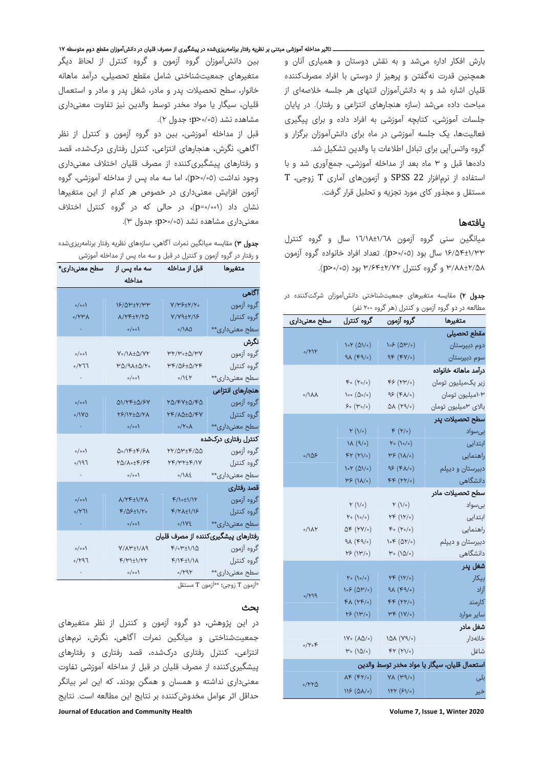بارش افکار اداره میشد و به نقش دوستان و همیاری آنان و همچنین قدرت نهگفتن و پرهیز از دوستی با افراد مصرفکننده قلیان اشاره شد و به دانشآموزان انتهای هر جلسه خلاصهای از مباحث داده میشد (سازه هنجارهای انتزاعی و رفتار). در پایان جلسات آموزشی، کتابچه آموزشی به افراد داده و برای پیگیری فعالیتها، یک جلسه آموزشی در ماه برای دانشآموزان برگزار و گروه واتسآپی برای تبادل اطلاعات با والدین تشکیل شد. دادهها قبل و ٣ ماه بعد از مداخله آموزشی، جمعآوری شد و با استفاده از نرمافزار 22 SPSS و آزمونهای آماری T زوجی، T

### یافتهها

میانگین سنی گروه آزمون ١٦/١٨±١/٦٨ سال و گروه کنترل ۱۶/۵۴±۱/۳۳ سال بود (٠/٠٥<p(. تعداد افراد خانواده گروه آزمون ۳/۸۸±۲/۵۸ و گروه کنترل ۳/۶۴±۲/۷۲ بود (٠/٠٥<p(.

مستقل و مجذور کای مورد تجزیه و تحلیل قرار گرفت.

جدول ٢) مقایسه متغیرهای جمعیتشناختی دانشآموزان شرکتکننده در مطالعه در دو گروه آزمون و کنترل (هر گروه ٢٠٠ نفر)

| سطح معنىدارى                                  | گروه کنترل                                                          | - 7 /<br><i>- ر</i> ن ر<br>گروه آزمون                                               | متغيرها                         |  |  |
|-----------------------------------------------|---------------------------------------------------------------------|-------------------------------------------------------------------------------------|---------------------------------|--|--|
| مقطع تحصيلى                                   |                                                                     |                                                                                     |                                 |  |  |
| 0/11                                          | $\mathcal{N}(\mathcal{O})$                                          | ۱۰۶ (۵۳/۰)                                                                          | دوم دبیرستان                    |  |  |
|                                               | $9\lambda$ (۴۹/۰)                                                   | $9F (FY/\circ)$                                                                     | سوم دبیرستان                    |  |  |
| درآمد ماهانه خانواده                          |                                                                     |                                                                                     |                                 |  |  |
| 0/1 <sub>A</sub>                              | $\kappa \circ (\kappa \circ \backslash \circ)$                      | ۴۶ (۲۳/۰)                                                                           | زير يكميليون تومان              |  |  |
|                                               | $\mathcal{N}(\mathcal{O}^{\circ}/\mathcal{O})$                      | $d\lambda\left(k\gamma/\gamma\right)$                                               | ۰۳/میلیون تومان                 |  |  |
|                                               | $\mathcal{S} \circ (\mathfrak{t}^{\omega} \circ / \circ)$           | ۵۸ (۲۹/۰)                                                                           | بالای <sup>۳</sup> میلیون تومان |  |  |
| سطح تحصيلات پدر                               |                                                                     |                                                                                     |                                 |  |  |
| 0/105                                         | $\mathbf{Y} \ (\mathcal{V})$ )                                      | $\mathfrak{K}\ (\mathbb{Y}/\circ)$                                                  | بىسواد                          |  |  |
|                                               | $(\circ/\rho)$ $\lambda$ /                                          | ۲۰ (۱۰/۰)                                                                           | ابتدایی                         |  |  |
|                                               | XY(Y)/0)                                                            | ٣۶ (١٨/٥)                                                                           | راهنمایی                        |  |  |
|                                               | $\mathcal{N}(\mathbb{Q})/\mathbb{Z}$                                | $d\mathcal{E}\left( \mathcal{F}V^{\backprime }\circ \right)$                        | دبیرستان و دیپلم                |  |  |
|                                               | ٣۶ (١٨/٥)                                                           | kk(hh)                                                                              | دانشگاهی                        |  |  |
|                                               |                                                                     |                                                                                     | سطح تحصيلات مادر                |  |  |
|                                               | $\mathbf{Y} \ (\mathcal{V})$ )                                      | $\mathbf{Y}\left( \mathcal{N}\circ\right)$                                          | بىسواد                          |  |  |
| $0/\lambda Y$                                 | $\gamma\circ\bigl(\gamma\circ/\circ\bigr)$                          | $\forall \mathfrak{F}\; \big(\mathcal{W}/\circ\big)$                                | ابتدایی                         |  |  |
|                                               | $\Delta \mathfrak{F}\,\left(\mathbb{M}\mathbb{V}/\mathsf{o}\right)$ | $\kappa \circ (\kappa \circ \lambda \circ)$                                         | راهنمایی                        |  |  |
|                                               | $\partial V\left(kd\Lambda^{\circ}\right)$                          | ۱۰۴ (۵۲/۰)                                                                          | دبیرستان و دیپلم                |  |  |
|                                               | $Y$ ۶ (۱۳/۰)                                                        | (۱۵/۰) ۳۰                                                                           | دانشگاهی                        |  |  |
| شغل پدر                                       |                                                                     |                                                                                     |                                 |  |  |
| $\rho/\gamma$                                 | $\mathsf{Y}\circ\bigl(\mathsf{V}\circ\mathsf{V}\circ\bigr)$         | YF(N')                                                                              | بيكار                           |  |  |
|                                               | $\sqrt{\cdot}$ (۵۳/۰)                                               | $\delta V\left(kd\Lambda^{\circ}\right)$                                            | آزاد                            |  |  |
|                                               | $FA(YF/\circ)$                                                      | $FF(YY)\circ)$                                                                      | كارمند                          |  |  |
|                                               | ٢۶ (١٣/٥)                                                           | ۳۴ (۱۷/۰)                                                                           | سایر موارد                      |  |  |
| شغل مادر                                      |                                                                     |                                                                                     |                                 |  |  |
| $\circ/\Upsilon \circ \Upsilon$               | ۱۷۰ (۸۵/۰)                                                          | ۱۵۸ (۷۹/۰)                                                                          | خانەدار                         |  |  |
|                                               | $\mathsf{t}^\omega\circ(\mathsf{I}\mathsf{\Delta}/\mathsf{\circ})$  | $\mathfrak{F}\mathfrak{h}\left(\mathfrak{h}\mathfrak{h}\right)/\mathfrak{o}\right)$ | شاغل                            |  |  |
| استعمال قلیان، سیگار یا مواد مخدر توسط والدین |                                                                     |                                                                                     |                                 |  |  |
| ۰/۲۲۵                                         | $\lambda \kappa (\kappa \gamma)$                                    | $Y\Lambda$ (۳۹/۰)                                                                   | بلى                             |  |  |
|                                               | $\mathcal{W}(\Delta \mathcal{N})$                                   | (۶۱/۰) ۱۲۲                                                                          | خير                             |  |  |

بین دانشآموزان گروه آزمون و گروه کنترل از لحاظ دیگر متغیرهای جمعیتشناختی شامل مقطع تحصیلی، درآمد ماهانه خانوار، سطح تحصیلات پدر و مادر، شغل پدر و مادر و استعمال قلیان، سیگار یا مواد مخدر توسط والدین نیز تفاوت معنیداری مشاهده نشد (٠/٠٥<p؛ جدول ۲).

قبل از مداخله آموزشی، بین دو گروه آزمون و کنترل از نظر آگاهی، نگرش، هنجارهای انتزاعی، کنترل رفتاری درکشده، قصد و رفتارهای پیشگیریکننده از مصرف قلیان اختلاف معنیداری وجود نداشت (٥-/٠٥(p)، اما سه ماه پس از مداخله آموزشی، گروه آزمون افزایش معنیداری در خصوص هر کدام از این متغیرها نشان داد (٠/٠٠١=p(، در حالی که در گروه کنترل اختلاف معنیداری مشاهده نشد (٠/٠٥<p؛ جدول <sup>٣</sup>).

جدول ٣) مقایسه میانگین نمرات آگاهی، سازههای نظریه رفتار برنامهریزیشده و رفتار در گروه آزمون و کنترل در قبل و سه ماه پس از مداخله آموزشی

| سطح معنىدارى*                       | سه ماه پس از<br>مداخله | قبل از مداخله                                         | متغيرها                      |  |
|-------------------------------------|------------------------|-------------------------------------------------------|------------------------------|--|
|                                     |                        |                                                       | آگاهی                        |  |
| $\circ/\circ\circ$                  | <b>18/QP±Y/PP</b>      | Y/۳۶±۲/۲.                                             | گروه آزمون                   |  |
| $0/Y$ ۳ $\Lambda$                   | L/YF±Y/YQ              | <b>Y/Y9±Y/1۶</b>                                      | گروه کنترل                   |  |
|                                     | $\circ / \circ \circ$  | $0/\lambda$                                           | سطح معنیداری**               |  |
|                                     |                        |                                                       | نگرش                         |  |
| $\circ/\circ\circ$                  | Y0/1779/A              | ۳۲/۳۰±۵/۳۷                                            | گروه آزمون                   |  |
| 77٦,                                | ۳۵/۹۸±۵/۲۰ <b>۰</b>    | ۳۴/۵۶±۵/۲۴                                            | گروه کنترل                   |  |
|                                     | $\circ/\circ\circ$     | 0/15                                                  | سطح معنىدارى**               |  |
|                                     |                        |                                                       | هنجارهای انتزاعی             |  |
| $\circ / \circ \circ$               | <b>QI/YF±Q/۶V</b>      | ۲۵/۴۷±۵/۴۵                                            | گروه آزمون                   |  |
| $0/1$ YO                            | YF/1Y±Q/YA             | YF/ A 2+ 2/ F V                                       | گروه کنترل                   |  |
|                                     | $\circ / \circ \circ$  | $\circ$ /Y $\circ$ A                                  | سطح معنىدارى**               |  |
|                                     |                        |                                                       | كنترل رفتارى دركشده          |  |
| $\circ/\circ\circ$                  | <b>Qo/IF±F/۶A</b>      | 77/0714/00                                            | گروه آزمون                   |  |
| 5/197                               | 70/10±F/۶F             | YF/٣٢±F/1Y                                            | گروه کنترل                   |  |
|                                     | $\circ/\circ\circ$     | $\circ / \backslash \Lambda$ ٤                        | سطح معنی <mark>داری**</mark> |  |
|                                     |                        |                                                       | قصد رفتاري                   |  |
| $\circ / \circ \circ$               | <b>V/LET/LY</b>        | $F/\left(\frac{1}{2}\right)/\left(\frac{1}{2}\right)$ | گروه آزمون                   |  |
| 7۱/۰                                | $F/\Delta F \pm 1/F$   | $F/Y\Lambda_{\pm}))/S$                                | گروه کنترل                   |  |
|                                     | $\circ / \circ \circ$  | $0/1Y\xi$                                             | سطح معنىدارى**               |  |
| رفتارهای پیشگیریکننده از مصرف قلیان |                        |                                                       |                              |  |
| $\circ/\circ\circ$                  | V/AP±1/A9              | $F/\circ F \pm 1/\delta$                              | گروه آزمون                   |  |
| 5/197                               | $F/H$ \±\/YY           | $F/\sqrt{t}$ 1/11                                     | گروه کنترل                   |  |
|                                     | $\circ/\circ\circ$     | 0/191                                                 | سطح معنیداری**               |  |

\*آزمون T زوجی؛ \*\*آزمون T مستقل

#### بحث

**Journal of Education and Community Health Material Community Health 10.1 The State of Temple 7, Issue 1, Winter 2020** در این پژوهش، دو گروه آزمون و کنترل از نظر متغیرهای جمعیتشناختی و میانگین نمرات آگاهی، نگرش، نرمهای انتزاعی، کنترل رفتاری درکشده، قصد رفتاری و رفتارهای پیشگیریکننده از مصرف قلیان در قبل از مداخله آموزشی تفاوت معنیداری نداشته و همسان و همگن بودند، که این امر بیانگر حداقل اثر عوامل مخدوشکننده بر نتایج این مطالعه است. نتایج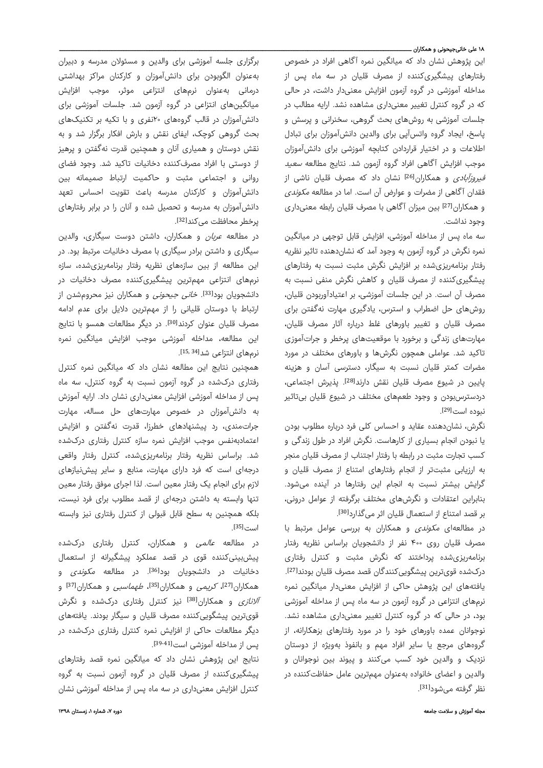# ۱۸ علی خانیجیحونی و همکاران ـــــ

این پژوهش نشان داد که میانگین نمره آگاهی افراد در خصوص رفتارهای پیشگیریکننده از مصرف قلیان در سه ماه پس از مداخله آموزشی در گروه آزمون افزایش معنیدار داشت، در حالی که در گروه کنترل تغییر معنیداری مشاهده نشد. ارایه مطالب در جلسات آموزشی به روشهای بحث گروهی، سخنرانی و پرسش و پاسخ، ایجاد گروه واتسآپی برای والدین دانشآموزان برای تبادل اطلاعات و در اختیار قراردادن کتابچه آموزشی برای دانشآموزان موجب افزایش آگاهی افراد گروه آزمون شد. نتایج مطالعه سعید *فیروزآبادی* و همکاران<sup>[26]</sup> نشان داد که مصرف قلیان ناشی از فقدان آگاهی از مضرات و عوارض آن است. اما در مطالعه مکوندی و همکاران<sup>[27]</sup> بین میزان آگاهی با مصرف قلیان رابطه معنیداری وجود نداشت.

سه ماه پس از مداخله آموزشی، افزایش قابل توجهی در میانگین نمره نگرش در گروه آزمون به وجود آمد که نشاندهنده تاثیر نظریه رفتار برنامهریزیشده بر افزایش نگرش مثبت نسبت به رفتارهای پیشگیریکننده از مصرف قلیان و کاهش نگرش منفی نسبت به مصرف آن است. در این جلسات آموزشی، بر اعتیادآوربودن قلیان، روشهای حل اضطراب و استرس، یادگیری مهارت نهگفتن برای مصرف قلیان و تغییر باورهای غلط درباره آثار مصرف قلیان، مهارتهای زندگی و برخورد با موقعیتهای پرخطر و جراتآموزی تاکید شد. عواملی همچون نگرشها و باورهای مختلف در مورد مضرات کمتر قلیان نسبت به سیگار، دسترسی آسان و هزینه پایین در شیوع مصرف قلیان نقش دارند<sup>[28]</sup>. پذیرش اجتماعی، دردسترسبودن و وجود طعمهای مختلف در شیوع قلیان بیتاثیر . [29] نبوده است

نگرش، نشاندهنده عقاید و احساس کلی فرد درباره مطلوب بودن یا نبودن انجام بسیاری از کارهاست. نگرش افراد در طول زندگی و کسب تجارت مثبت در رابطه با رفتار اجتناب از مصرف قلیان منجر به ارزیابی مثبتتر از انجام رفتارهای امتناع از مصرف قلیان و گرایش بیشتر نسبت به انجام این رفتارها در آینده میشود. بنابراین اعتقادات و نگرشهای مختلف برگرفته از عوامل درونی، بر قصد امتناع از استعمال قلیان اثر میگذارد<sup>[30]</sup>.

در مطالعهای مکوندی و همکاران به بررسی عوامل مرتبط با مصرف قلیان روی ۴۰۰ نفر از دانشجویان براساس نظریه رفتار برنامهریزیشده پرداختند که نگرش مثبت و کنترل رفتاری درکشده قویترین پیشگوییکنندگان قصد مصرف قلیان بودند<sup>[27]</sup>. یافتههای این پژوهش حاکی از افزایش معنیدار میانگین نمره نرمهای انتزاعی در گروه آزمون در سه ماه پس از مداخله آموزشی بود، در حالی که در گروه کنترل تغییر معنیداری مشاهده نشد. نوجوانان عمده باورهای خود را در مورد رفتارهای بزهکارانه، از گروههای مرجع یا سایر افراد مهم و بانفوذ بهویژه از دوستان نزدیک و والدین خود کسب میکنند و پیوند بین نوجوانان و والدین و اعضای خانواده بهعنوان مهمترین عامل حفاظتکننده در نظر گرفته می شود<sup>[31]</sup>.

برگزاری جلسه آموزشی برای والدین و مسئولان مدرسه و دبیران بهعنوان الگوبودن برای دانشآموزان و کارکنان مراکز بهداشتی درمانی بهعنوان نرمهای انتزاعی موثر، موجب افزایش میانگینهای انتزاعی در گروه آزمون شد. جلسات آموزشی برای دانشآموزان در قالب گروههای ۲۰نفری و با تکیه بر تکنیکهای بحث گروهی کوچک، ایفای نقش و بارش افکار برگزار شد و به نقش دوستان و همیاری آنان و همچنین قدرت نهگفتن و پرهیز از دوستی با افراد مصرفکننده دخانیات تاکید شد. وجود فضای روانی و اجتماعی مثبت و حاکمیت ارتباط صمیمانه بین دانشآموزان و کارکنان مدرسه باعث تقویت احساس تعهد دانشآموزان به مدرسه و تحصیل شده و آنان را در برابر رفتارهای پرخطر محافظت میکند<sup>[32]</sup>.

در مطالعه عربان و همکاران، داشتن دوست سیگاری، والدین سیگاری و داشتن برادر سیگاری با مصرف دخانیات مرتبط بود. در این مطالعه از بین سازههای نظریه رفتار برنامهریزیشده، سازه نرمهای انتزاعی مهمترین پیشگیریکننده مصرف دخانیات در دانشجویان بود<sup>[33]</sup>. *خانی جیحونی* و همکاران نیز محرومشدن از ارتباط با دوستان قلیانی را از مهمترین دلایل برای عدم ادامه مصرف قلیان عنوان کردند<sup>[30]</sup>. در دیگر مطالعات همسو با نتایج این مطالعه، مداخله آموزشی موجب افزایش میانگین نمره نرمهای انتزاعی شد<sup>[15, 34</sup>] .

همچنین نتایج این مطالعه نشان داد که میانگین نمره کنترل رفتاری درکشده در گروه آزمون نسبت به گروه کنترل، سه ماه پس از مداخله آموزشی افزایش معنیداری نشان داد. ارایه آموزش به دانشآموزان در خصوص مهارتهای حل مساله، مهارت جراتمندی، رد پیشنهادهای خطرزا، قدرت نهگفتن و افزایش اعتمادبهنفس موجب افزایش نمره سازه کنترل رفتاری درکشده شد. براساس نظریه رفتار برنامهریزیشده، کنترل رفتار واقعی درجهای است که فرد دارای مهارت، منابع و سایر پیشنیازهای لازم برای انجام یک رفتار معین است. لذا اجرای موفق رفتار معین تنها وابسته به داشتن درجهای از قصد مطلوب برای فرد نیست، بلکه همچنین به سطح قابل قبولی از کنترل رفتاری نیز وابسته . [35] است

در مطالعه عالمی و همکاران، کنترل رفتاری درکشده پیشبینیکننده قوی در قصد عملکرد پیشگیرانه از استعمال دخانیات در دانشجویان بود<sup>[36]</sup>. در مطالعه *مکوندی* و همکاران<sup>[27]</sup>، *کریمی* و همکاران<sup>[35]</sup>، *طهماسبی* و همکاران<sup>[37]</sup> و آ*لانازی* و همکاران<sup>[38]</sup> نیز کنترل رفتاری درکشده و نگرش قویترین پیشگوییکننده مصرف قلیان و سیگار بودند. یافتههای دیگر مطالعات حاکی از افزایش نمره کنترل رفتاری درکشده در . [39-41] پس از مداخله آموزشی است

نتایج این پژوهش نشان داد که میانگین نمره قصد رفتارهای پیشگیریکننده از مصرف قلیان در گروه آزمون نسبت به گروه کنترل افزایش معنیداری در سه ماه پس از مداخله آموزشی نشان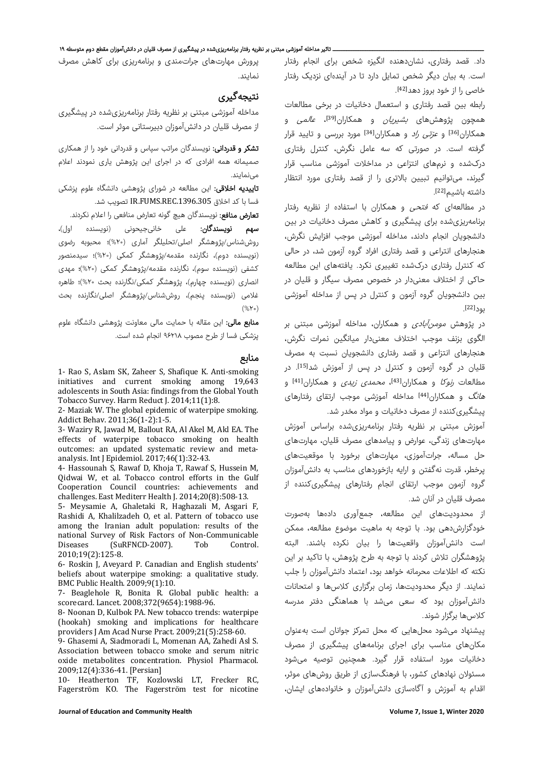داد. قصد رفتاری، نشاندهنده انگیزه شخص برای انجام رفتار است. به بیان دیگر شخص تمایل دارد تا در آیندهای نزدیک رفتار خاصی را از خود بروز دهد[42].

رابطه بین قصد رفتاری و استعمال دخانیات در برخی مطالعات همچون پژوهشهای *بشیریان* و همکاران<sup>[39]</sup>، *عالمی* و همکاران<sup>[36]</sup> و *عزتی راد* و همکاران<sup>[34]</sup> مورد بررسی و تایید قرار گرفته است. در صورتی که سه عامل نگرش، کنترل رفتاری درکشده و نرمهای انتزاعی در مداخلات آموزشی مناسب قرار گیرند، میتوانیم تبیین بالاتری را از قصد رفتاری مورد انتظار . [22] داشته باشیم

در مطالعهای که فتحی و همکاران با استفاده از نظریه رفتار برنامهریزیشده برای پیشگیری و کاهش مصرف دخانیات در بین دانشجویان انجام دادند، مداخله آموزشی موجب افزایش نگرش، هنجارهای انتراعی و قصد رفتاری افراد گروه آزمون شد، در حالی که کنترل رفتاری درکشده تغییری نکرد. یافتههای این مطالعه حاکی از اختلاف معنیدار در خصوص مصرف سیگار و قلیان در بین دانشجویان گروه آزمون و کنترل در پس از مداخله آموزشی . [22] بود

در پژوهش *مومن آبادی* و همکاران، مداخله آموزشی مبتنی بر الگوی بزنف موجب اختلاف معنیدار میانگین نمرات نگرش، هنجارهای انتزاعی و قصد رفتاری دانشجویان نسبت به مصرف قلیان در گروه آزمون و کنترل در پس از آموزش شد<sup>[15]</sup>. در مطالعات *رنوکا* و همکاران<sup>[43]</sup>، *محمدی زیدی* و همکاران<sup>[41]</sup> و هانگ و همکاران[44] مداخله آموزشی موجب ارتقای رفتارهای پیشگیریکننده از مصرف دخانیات و مواد مخدر شد.

آموزش مبتنی بر نظریه رفتار برنامهریزیشده براساس آموزش مهارتهای زندگی، عوارض و پیامدهای مصرف قلیان، مهارتهای حل مساله، جراتآموزی، مهارتهای برخورد با موقعیتهای پرخطر، قدرت نهگفتن و ارایه بازخوردهای مناسب به دانشآموزان گروه آزمون موجب ارتقای انجام رفتارهای پیشگیریکننده از مصرف قلیان در آنان شد.

از محدودیتهای این مطالعه، جمعآوری دادهها بهصورت خودگزارشدهی بود. با توجه به ماهیت موضوع مطالعه، ممکن است دانشآموزان واقعیتها را بیان نکرده باشند. البته پژوهشگران تلاش کردند با توجه به طرح پژوهش، با تاکید بر این نکته که اطلاعات محرمانه خواهد بود، اعتماد دانشآموزان را جلب نمایند. از دیگر محدودیتها، زمان برگزاری کلاسها و امتحانات دانشآموزان بود که سعی میشد با هماهنگی دفتر مدرسه کلاسها برگزار شوند.

پیشنهاد میشود محلهایی که محل تمرکز جوانان است بهعنوان مکانهای مناسب برای اجرای برنامههای پیشگیری از مصرف دخانیات مورد استفاده قرار گیرد. همچنین توصیه میشود مسئولان نهادهای کشور، با فرهنگسازی از طریق روشهای موثر، اقدام به آموزش و آگاهسازی دانشآموزان و خانوادههای ایشان،

پرورش مهارتهای جراتمندی و برنامهریزی برای کاهش مصرف نمایند.

# نتیجهگیری

مداخله آموزشی مبتنی بر نظریه رفتار برنامهریزیشده در پیشگیری از مصرف قلیان در دانشآموزان دبیرستانی موثر است.

<mark>تشکر و قدردانی:</mark> نویسندگان مراتب سپاس و قدردانی خود را از همکاری صمیمانه همه افرادی که در اجرای این پژوهش یاری نمودند اعلام مینمایند.

**تاییدیه اخلاقی:** این مطالعه در شورای پژوهشی دانشگاه علوم پزشکی فسا با کد اخلاق IR.FUMS.REC.1396.305 تصویب شد.

**تعارض منافع:** نویسندگان هیچ گونه تعارض منافعی را اعلام نکردند.

سهم نویسندگان: علی خانیجیحونی (نویسنده اول)، روششناس/پژوهشگر اصلی/تحلیلگر آماری (%٢٠)؛ محبوبه رضوی (نویسنده دوم)، نگارنده مقدمه/پژوهشگر کمکی (%٢٠)؛ سیدمنصور کشفی (نویسنده سوم)، نگارنده مقدمه/پژوهشگر کمکی (%٢٠)؛ مهدی انصاری (نویسنده چهارم)، پژوهشگر کمکی/نگارنده بحث %٢٠)؛ طاهره غلامی (نویسنده پنجم)، روششناس/پژوهشگر اصلی/نگارنده بحث  $(%Y)$ 

منابع مالی: این مقاله با حمایت مالی معاونت پژوهشی دانشگاه علوم پزشکی فسا از طرح مصوب <sup>۹۶۲۱۸</sup> انجام شده است.

#### منابع

1- Rao S, Aslam SK, Zaheer S, Shafique K. Anti-smoking initiatives and current smoking among 19,643 adolescents in South Asia: findings from the Global Youth Tobacco Survey. Harm Reduct J. 2014;11(1):8.

2- Maziak W. The global epidemic of waterpipe smoking. Addict Behav. 2011;36(1-2):1-5.

3- Waziry R, Jawad M, Ballout RA, Al Akel M, Akl EA. The effects of waterpipe tobacco smoking on health outcomes: an updated systematic review and metaanalysis. Int J Epidemiol. 2017;46(1):32-43.

4- Hassounah S, Rawaf D, Khoja T, Rawaf S, Hussein M, Qidwai W, et al. Tobacco control efforts in the Gulf Cooperation Council countries: achievements and challenges. East Mediterr Health J. 2014;20(8):508-13.

5- Meysamie A, Ghaletaki R, Haghazali M, Asgari F, Rashidi A, Khalilzadeh O, et al. Pattern of tobacco use among the Iranian adult population: results of the national Survey of Risk Factors of Non-Communicable Diseases (SuRFNCD-2007). Tob Control. 2010;19(2):125-8.

6- Roskin J, Aveyard P. Canadian and English students' beliefs about waterpipe smoking: a qualitative study. BMC Public Health. 2009;9(1):10.

7- Beaglehole R, Bonita R. Global public health: a scorecard. Lancet. 2008;372(9654):1988-96.

8- Noonan D, Kulbok PA. New tobacco trends: waterpipe (hookah) smoking and implications for healthcare providers J Am Acad Nurse Pract. 2009;21(5):258-60.

9- Ghasemi A, Siadmoradi L, Momenan AA, Zahedi Asl S. Association between tobacco smoke and serum nitric oxide metabolites concentration. Physiol Pharmacol. 2009;12(4):336-41. [Persian]

10- Heatherton TF, Kozlowski LT, Frecker RC, Fagerström KO. The Fagerström test for nicotine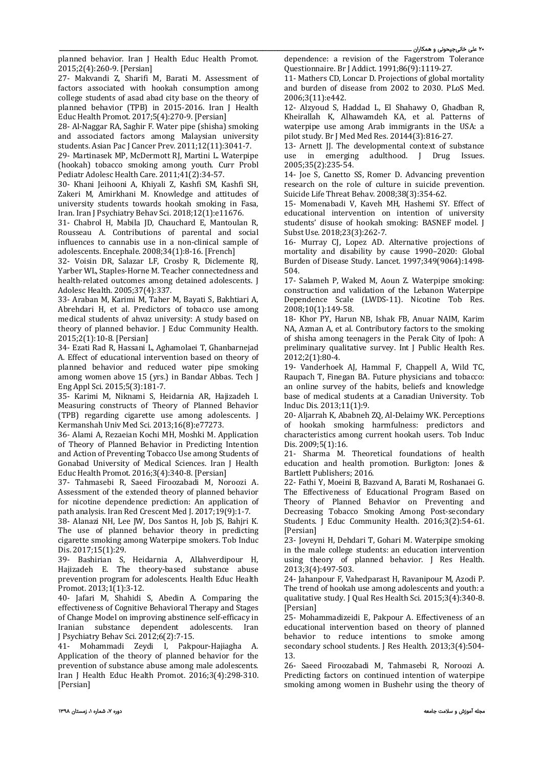planned behavior. Iran J Health Educ Health Promot. 2015;2(4):260-9. [Persian]

27- Makvandi Z, Sharifi M, Barati M. Assessment of factors associated with hookah consumption among college students of asad abad city base on the theory of planned behavior (TPB) in 2015-2016. Iran J Health Educ Health Promot. 2017;5(4):270-9. [Persian]

28- Al-Naggar RA, Saghir F. Water pipe (shisha) smoking and associated factors among Malaysian university students. Asian Pac J Cancer Prev. 2011;12(11):3041-7.

29- Martinasek MP, McDermott RJ, Martini L. Waterpipe (hookah) tobacco smoking among youth. Curr Probl Pediatr Adolesc Health Care. 2011;41(2):34-57.

30- Khani Jeihooni A, Khiyali Z, Kashfi SM, Kashfi SH, Zakeri M, Amirkhani M. Knowledge and attitudes of university students towards hookah smoking in Fasa, Iran. Iran J Psychiatry Behav Sci. 2018;12(1):e11676.

31- Chabrol H, Mabila JD, Chauchard E, Mantoulan R, Rousseau A. Contributions of parental and social influences to cannabis use in a non-clinical sample of adolescents. Encephale. 2008;34(1):8-16. [French]

32- Voisin DR, Salazar LF, Crosby R, Diclemente RJ, Yarber WL, Staples-Horne M. Teacher connectedness and health-related outcomes among detained adolescents. J Adolesc Health. 2005;37(4):337.

33- Araban M, Karimi M, Taher M, Bayati S, Bakhtiari A, Abrehdari H, et al. Predictors of tobacco use among medical students of ahvaz university: A study based on theory of planned behavior. J Educ Community Health. 2015;2(1):10-8. [Persian]

34- Ezati Rad R, Hassani L, Aghamolaei T, Ghanbarnejad A. Effect of educational intervention based on theory of planned behavior and reduced water pipe smoking among women above 15 (yrs.) in Bandar Abbas. Tech J Eng Appl Sci. 2015;5(3):181-7.

35- Karimi M, Niknami S, Heidarnia AR, Hajizadeh I. Measuring constructs of Theory of Planned Behavior (TPB) regarding cigarette use among adolescents. J Kermanshah Univ Med Sci. 2013;16(8):e77273.

36- Alami A, Rezaeian Kochi MH, Moshki M. Application of Theory of Planned Behavior in Predicting Intention and Action of Preventing Tobacco Use among Students of Gonabad University of Medical Sciences. Iran J Health Educ Health Promot. 2016;3(4):340-8. [Persian]

37- Tahmasebi R, Saeed Firoozabadi M, Noroozi A. Assessment of the extended theory of planned behavior for nicotine dependence prediction: An application of path analysis. Iran Red Crescent Med J. 2017;19(9):1-7.

38- Alanazi NH, Lee JW, Dos Santos H, Job JS, Bahjri K. The use of planned behavior theory in predicting cigarette smoking among Waterpipe smokers. Tob Induc Dis. 2017;15(1):29.

39- Bashirian S, Heidarnia A, Allahverdipour H, Hajizadeh E. The theory-based substance abuse prevention program for adolescents. Health Educ Health Promot. 2013;1(1):3-12.

40- Jafari M, Shahidi S, Abedin A. Comparing the effectiveness of Cognitive Behavioral Therapy and Stages of Change Model on improving abstinence self-efficacy in Iranian substance dependent adolescents. Iran J Psychiatry Behav Sci. 2012;6(2):7-15.

41- Mohammadi Zeydi I, Pakpour-Hajiagha A. Application of the theory of planned behavior for the prevention of substance abuse among male adolescents. Iran J Health Educ Health Promot. 2016;3(4):298-310. [Persian]

dependence: a revision of the Fagerstrom Tolerance Questionnaire. Br J Addict. 1991;86(9):1119-27.

11- Mathers CD, Loncar D. Projections of global mortality and burden of disease from 2002 to 2030. PLoS Med. 2006;3(11):e442.

12- Alzyoud S, Haddad L, El Shahawy O, Ghadban R, Kheirallah K, Alhawamdeh KA, et al. Patterns of waterpipe use among Arab immigrants in the USA: a pilot study. Br J Med Med Res. 20144(3):816-27.

13- Arnett JJ. The developmental context of substance use in emerging adulthood. J Drug Issues. 2005;35(2):235-54.

14- Joe S, Canetto SS, Romer D. Advancing prevention research on the role of culture in suicide prevention. Suicide Life Threat Behav. 2008;38(3):354-62.

15- Momenabadi V, Kaveh MH, Hashemi SY. Effect of educational intervention on intention of university students' disuse of hookah smoking: BASNEF model. J Subst Use. 2018;23(3):262-7.

16- Murray CJ, Lopez AD. Alternative projections of mortality and disability by cause 1990–2020: Global Burden of Disease Study. Lancet. 1997;349(9064):1498- 504.

17- Salameh P, Waked M, Aoun Z. Waterpipe smoking: construction and validation of the Lebanon Waterpipe Dependence Scale (LWDS-11). Nicotine Tob Res. 2008;10(1):149-58.

18- Khor PY, Harun NB, Ishak FB, Anuar NAIM, Karim NA, Azman A, et al. Contributory factors to the smoking of shisha among teenagers in the Perak City of Ipoh: A preliminary qualitative survey. Int J Public Health Res. 2012;2(1):80-4.

19- Vanderhoek AJ, Hammal F, Chappell A, Wild TC, Raupach T, Finegan BA. Future physicians and tobacco: an online survey of the habits, beliefs and knowledge base of medical students at a Canadian University. Tob Induc Dis. 2013;11(1):9.

20- Aljarrah K, Ababneh ZQ, Al-Delaimy WK. Perceptions of hookah smoking harmfulness: predictors and characteristics among current hookah users. Tob Induc Dis. 2009;5(1):16.

21- Sharma M. Theoretical foundations of health education and health promotion. Burligton: Jones & Bartlett Publishers; 2016.

22- Fathi Y, Moeini B, Bazvand A, Barati M, Roshanaei G. The Effectiveness of Educational Program Based on Theory of Planned Behavior on Preventing and Decreasing Tobacco Smoking Among Post-secondary Students. J Educ Community Health. 2016;3(2):54-61. [Persian]

23- Joveyni H, Dehdari T, Gohari M. Waterpipe smoking in the male college students: an education intervention using theory of planned behavior. J Res Health. 2013;3(4):497-503.

24- Jahanpour F, Vahedparast H, Ravanipour M, Azodi P. The trend of hookah use among adolescents and youth: a qualitative study. J Qual Res Health Sci. 2015;3(4):340-8. [Persian]

25- Mohammadizeidi E, Pakpour A. Effectiveness of an educational intervention based on theory of planned behavior to reduce intentions to smoke among secondary school students. J Res Health. 2013;3(4):504- 13.

26- Saeed Firoozabadi M, Tahmasebi R, Noroozi A. Predicting factors on continued intention of waterpipe smoking among women in Bushehr using the theory of